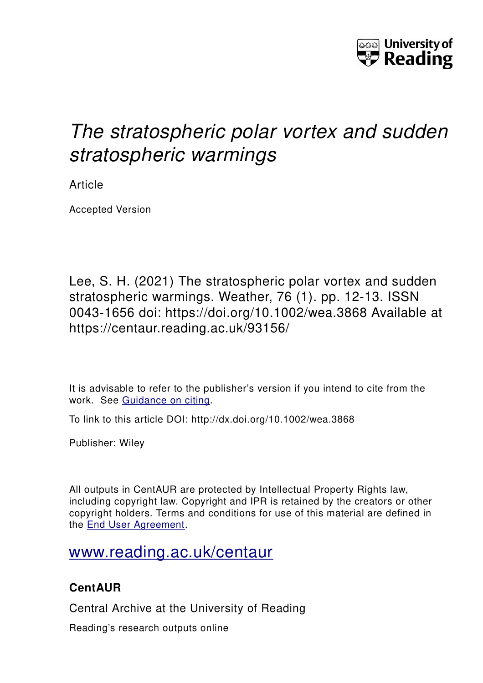

# *The stratospheric polar vortex and sudden stratospheric warmings*

Article

Accepted Version

Lee, S. H. (2021) The stratospheric polar vortex and sudden stratospheric warmings. Weather, 76 (1). pp. 12-13. ISSN 0043-1656 doi: https://doi.org/10.1002/wea.3868 Available at https://centaur.reading.ac.uk/93156/

It is advisable to refer to the publisher's version if you intend to cite from the work. See [Guidance on citing.](http://centaur.reading.ac.uk/71187/10/CentAUR%20citing%20guide.pdf)

To link to this article DOI: http://dx.doi.org/10.1002/wea.3868

Publisher: Wiley

All outputs in CentAUR are protected by Intellectual Property Rights law, including copyright law. Copyright and IPR is retained by the creators or other copyright holders. Terms and conditions for use of this material are defined in the [End User Agreement.](http://centaur.reading.ac.uk/licence)

# [www.reading.ac.uk/centaur](http://www.reading.ac.uk/centaur)

# **CentAUR**

Central Archive at the University of Reading

Reading's research outputs online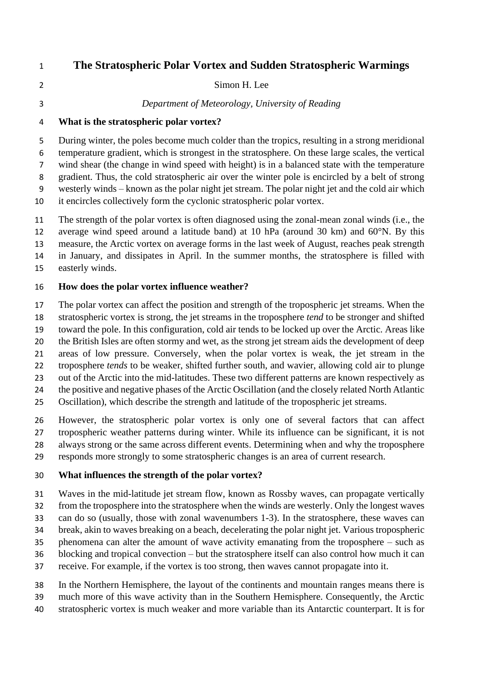# **The Stratospheric Polar Vortex and Sudden Stratospheric Warmings**

Simon H. Lee

*Department of Meteorology, University of Reading*

#### **What is the stratospheric polar vortex?**

 During winter, the poles become much colder than the tropics, resulting in a strong meridional temperature gradient, which is strongest in the stratosphere. On these large scales, the vertical wind shear (the change in wind speed with height) is in a balanced state with the temperature gradient. Thus, the cold stratospheric air over the winter pole is encircled by a belt of strong westerly winds – known as the polar night jet stream. The polar night jet and the cold air which it encircles collectively form the cyclonic stratospheric polar vortex.

 The strength of the polar vortex is often diagnosed using the zonal-mean zonal winds (i.e., the average wind speed around a latitude band) at 10 hPa (around 30 km) and 60°N. By this measure, the Arctic vortex on average forms in the last week of August, reaches peak strength in January, and dissipates in April. In the summer months, the stratosphere is filled with easterly winds.

#### **How does the polar vortex influence weather?**

 The polar vortex can affect the position and strength of the tropospheric jet streams. When the stratospheric vortex is strong, the jet streams in the troposphere *tend* to be stronger and shifted toward the pole. In this configuration, cold air tends to be locked up over the Arctic. Areas like the British Isles are often stormy and wet, as the strong jet stream aids the development of deep areas of low pressure. Conversely, when the polar vortex is weak, the jet stream in the troposphere *tends* to be weaker, shifted further south, and wavier, allowing cold air to plunge out of the Arctic into the mid-latitudes. These two different patterns are known respectively as the positive and negative phases of the Arctic Oscillation (and the closely related North Atlantic Oscillation), which describe the strength and latitude of the tropospheric jet streams.

 However, the stratospheric polar vortex is only one of several factors that can affect tropospheric weather patterns during winter. While its influence can be significant, it is not always strong or the same across different events. Determining when and why the troposphere responds more strongly to some stratospheric changes is an area of current research.

#### **What influences the strength of the polar vortex?**

Waves in the mid-latitude jet stream flow, known as Rossby waves, can propagate vertically

from the troposphere into the stratosphere when the winds are westerly. Only the longest waves

can do so (usually, those with zonal wavenumbers 1-3). In the stratosphere, these waves can

 break, akin to waves breaking on a beach, decelerating the polar night jet. Various tropospheric phenomena can alter the amount of wave activity emanating from the troposphere – such as

blocking and tropical convection – but the stratosphere itself can also control how much it can

receive. For example, if the vortex is too strong, then waves cannot propagate into it.

 In the Northern Hemisphere, the layout of the continents and mountain ranges means there is much more of this wave activity than in the Southern Hemisphere. Consequently, the Arctic stratospheric vortex is much weaker and more variable than its Antarctic counterpart. It is for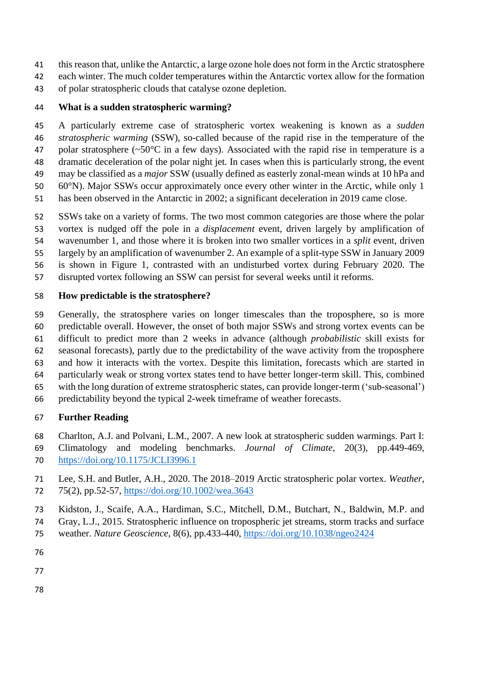- this reason that, unlike the Antarctic, a large ozone hole does not form in the Arctic stratosphere
- each winter. The much colder temperatures within the Antarctic vortex allow for the formation
- of polar stratospheric clouds that catalyse ozone depletion.

## **What is a sudden stratospheric warming?**

 A particularly extreme case of stratospheric vortex weakening is known as a *sudden stratospheric warming* (SSW), so-called because of the rapid rise in the temperature of the 47 polar stratosphere  $(-50^{\circ}\text{C}$  in a few days). Associated with the rapid rise in temperature is a dramatic deceleration of the polar night jet*.* In cases when this is particularly strong, the event may be classified as a *major* SSW (usually defined as easterly zonal-mean winds at 10 hPa and 60°N). Major SSWs occur approximately once every other winter in the Arctic, while only 1

has been observed in the Antarctic in 2002; a significant deceleration in 2019 came close.

 SSWs take on a variety of forms. The two most common categories are those where the polar vortex is nudged off the pole in a *displacement* event, driven largely by amplification of wavenumber 1, and those where it is broken into two smaller vortices in a *split* event, driven largely by an amplification of wavenumber 2. An example of a split-type SSW in January 2009 is shown in Figure 1, contrasted with an undisturbed vortex during February 2020. The

disrupted vortex following an SSW can persist for several weeks until it reforms.

## **How predictable is the stratosphere?**

 Generally, the stratosphere varies on longer timescales than the troposphere, so is more predictable overall. However, the onset of both major SSWs and strong vortex events can be difficult to predict more than 2 weeks in advance (although *probabilistic* skill exists for seasonal forecasts), partly due to the predictability of the wave activity from the troposphere and how it interacts with the vortex. Despite this limitation, forecasts which are started in particularly weak or strong vortex states tend to have better longer-term skill. This, combined with the long duration of extreme stratospheric states, can provide longer-term ('sub-seasonal') predictability beyond the typical 2-week timeframe of weather forecasts.

# **Further Reading**

Charlton, A.J. and Polvani, L.M., 2007. A new look at stratospheric sudden warmings. Part I:

- Climatology and modeling benchmarks. *Journal of Climate*, 20(3), pp.449-469, <https://doi.org/10.1175/JCLI3996.1>
- Lee, S.H. and Butler, A.H., 2020. The 2018–2019 Arctic stratospheric polar vortex. *Weather*, 75(2), pp.52-57,<https://doi.org/10.1002/wea.3643>
- Kidston, J., Scaife, A.A., Hardiman, S.C., Mitchell, D.M., Butchart, N., Baldwin, M.P. and Gray, L.J., 2015. Stratospheric influence on tropospheric jet streams, storm tracks and surface
- weather. *Nature Geoscience*, 8(6), pp.433-440,<https://doi.org/10.1038/ngeo2424>
- 
- 
-